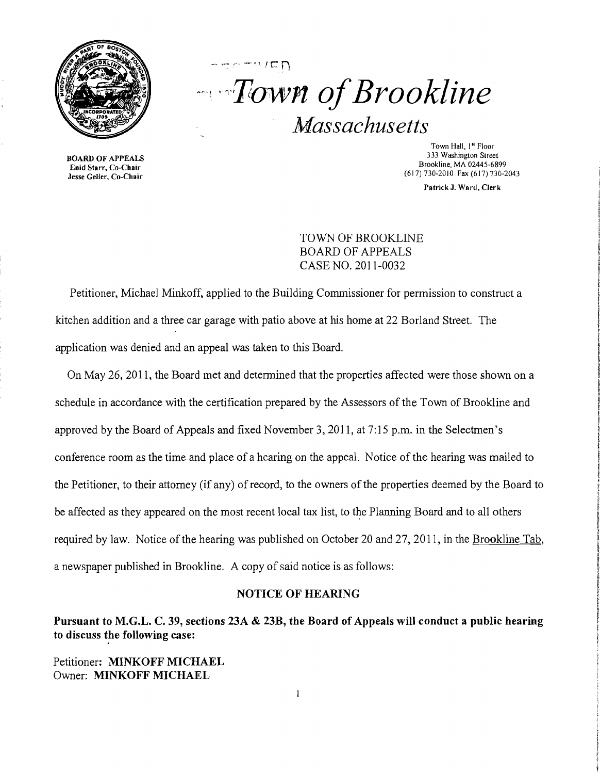

## $r$ <sup>---------</sup> *n* of Brookline *Massachusetts*

Enid Starr, Co-Chair<br>Jesse Geller, Co-Chair

Town Hall, 1<sup>st</sup> Floor<br>333 Washington Street 333 Washington Street BOARD OF APPEALS<br>
Find Starr Co-Chair<br>
Find Starr Co-Chair (617) 730-2010 Fax (617) 730-2043

Patrick J. Ward, Clerk

TOWN OF BROOKLINE BOARD OF APPEALS CASE NO. 2011-0032

Petitioner, Michael Minkoff, applied to the Building Commissioner for permission to construct a kitchen addition and a three car garage with patio above at his home at 22 Borland Street. The application was denied and an appeal was taken to this Board.

On May 26, 2011, the Board met and determined that the properties affected were those shown on a schedule in accordance with the certification prepared by the Assessors of the Town of Brookline and approved by the Board of Appeals and fixed November 3, 2011, at 7:15 p.m. in the Selectmen's conference room as the time and place of a hearing on the appeal. Notice of the hearing was mailed to the Petitioner, to their attorney (if any) of record, to the owners of the properties deemed by the Board to be affected as they appeared on the most recent local tax list, to the Planning Board and to all others required by law. Notice of the hearing was published on October 20 and 27,2011, in the Brookline Tab, a newspaper published in Brookline. A copy of said notice is as follows:

## NOTICE OF HEARING

Pursuant to M.G.L. C. 39, sections 23A & 23B, the Board of Appeals will conduct a public hearing to discuss the following case:

Petitioner: MINKOFF MICHAEL Owner: MINKOFF MICHAEL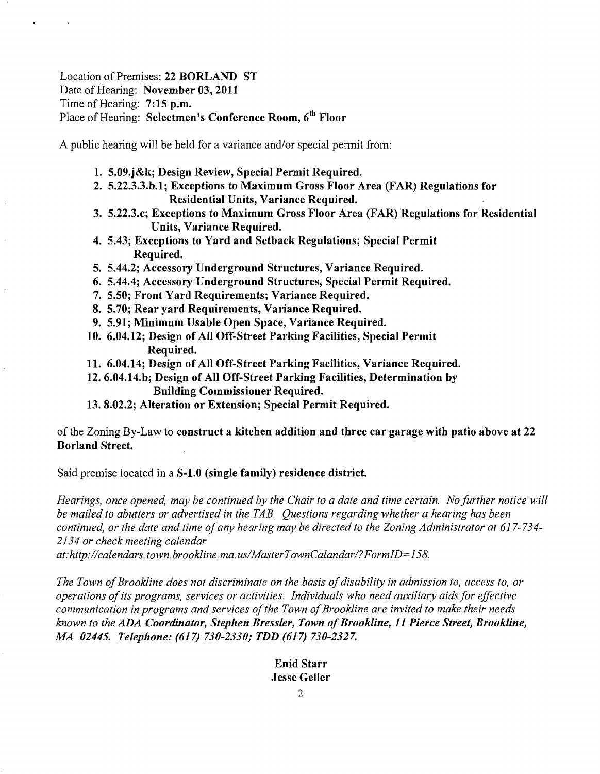## Location of Premises: 22 BORLAND ST Date of Hearing: November 03, 2011 Time of Hearing: 7:15 p.m. Place of Hearing: Selectmen's Conference Room, 6<sup>th</sup> Floor

A public hearing will be held for a variance and/or special permit from:

- 1. 5.09.j&k; Design Review, Special Permit Required.
- 2. 5.22.3.3.b.l; Exceptions to Maximum Gross Floor Area (FAR) Regulations for Residential Units, Variance Required.
- 3. 5.22.3.c; Exceptions to Maximum Gross Floor Area (FAR) Regulations for Residential Units, Variance Required.
- 4. 5.43; Exceptions to Yard and Setback Regulations; Special Permit Required.
- 5. 5.44.2; Accessory Underground Structures, Variance Required.
- 6. 5.44.4; Accessory Underground Structures, Special Permit Required.
- 7. 5.50; Front Yard Requirements; Variance Required.
- 8. 5.70; Rear yard Requirements, Variance Required.
- 9. 5.91; Minimum Usable Open Space, Variance Required.
- 10. 6.04.12; Design of All Off-Street Parking Facilities, Special Permit Required.
- 11. 6.04.14; Design of All Off-Street Parking Facilities, Variance Required.
- 12. 6.04.14.b; Design of All Off-Street Parking Facilities, Determination by Building Commissioner Required.
- 13. 8.02.2; Alteration or Extension; Special Permit Required.

of the Zoning By-Law to construct a kitchen addition and three car garage with patio above at 22 Borland Street.

Said premise located in a S-1.0 (single family) residence district.

*Hearings, once opened, may be continued by the Chair to a date and time certain. No further notice will be mailed to abutters or advertised in the TAB. Questions regarding whether a hearing has been continued, or the date and time ofany hearing may be directed to the Zoning Administrator at 617-734 2134 or check meeting calendar* 

at:http://calendars.town.brookline.ma.us/MasterTownCalandar/?FormID=158.

The Town of Brookline does not discriminate on the basis of disability in admission to, access to, or *operations ofits programs, services or activities. Individuals who need auxiliary aidsfor effective*  communication in programs and services of the Town of Brookline are invited to make their needs *known to the ADA Coordinator, Stephen Bressler, Town ofBrookline,* 11 *Pierce Street, Brookline, MA 02445. Telephone:* (617) *730-2330; TDD* (617) *730-2327.* 

## Enid Starr Jesse Geller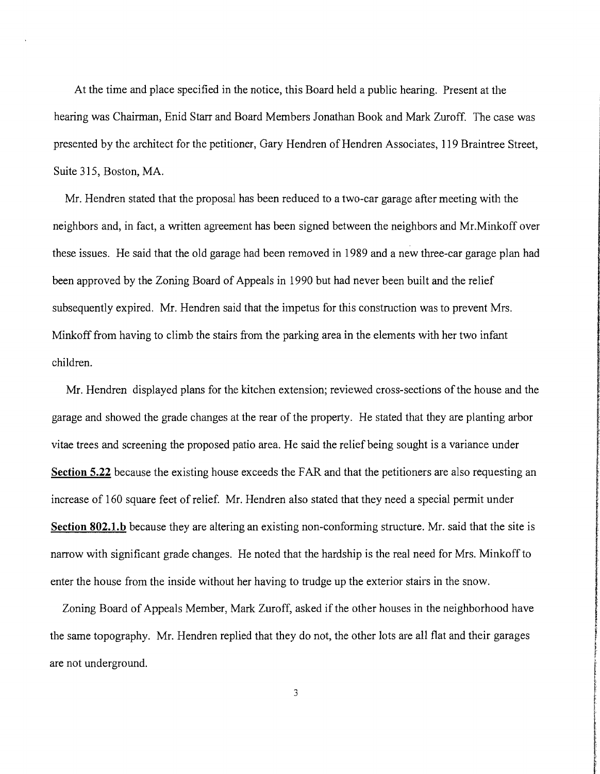At the time and place specified in the notice, this Board held a public hearing. Present at the hearing was Chairman, Enid Starr and Board Members Jonathan Book and Mark Zuroff. The case was presented by the architect for the petitioner, Gary Hendren of Hendren Associates, 119 Braintree Street, Suite 315, Boston, MA.

Mr. Hendren stated that the proposal has been reduced to a two-car garage after meeting with the neighbors and, in fact, a written agreement has been signed between the neighbors and Mr.Minkoff over these issues. He said that the old garage had been removed in 1989 and a new three-car garage plan had been approved by the Zoning Board of Appeals in 1990 but had never been built and the relief subsequently expired. Mr. Hendren said that the impetus for this construction was to prevent Mrs. Minkoff from having to climb the stairs from the parking area in the elements with her two infant children.

Mr. Hendren displayed plans for the kitchen extension; reviewed cross-sections of the house and the garage and showed the grade changes at the rear of the property. He stated that they are planting arbor vitae trees and screening the proposed patio area. He said the relief being sought is a variance under **Section 5.22** because the existing house exceeds the FAR and that the petitioners are also requesting an increase of 160 square feet of relief. Mr. Hendren also stated that they need a special permit under **Section 802.l.b** because they are altering an existing non-conforming structure. Mr. said that the site is narrow with significant grade changes. He noted that the hardship is the real need for Mrs. Minkoff to enter the house from the inside without her having to trudge up the exterior stairs in the snow.

Zoning Board of Appeals Member, Mark Zuroff, asked if the other houses in the neighborhood have the same topography. Mr. Hendren replied that they do not, the other lots are all flat and their garages are not underground.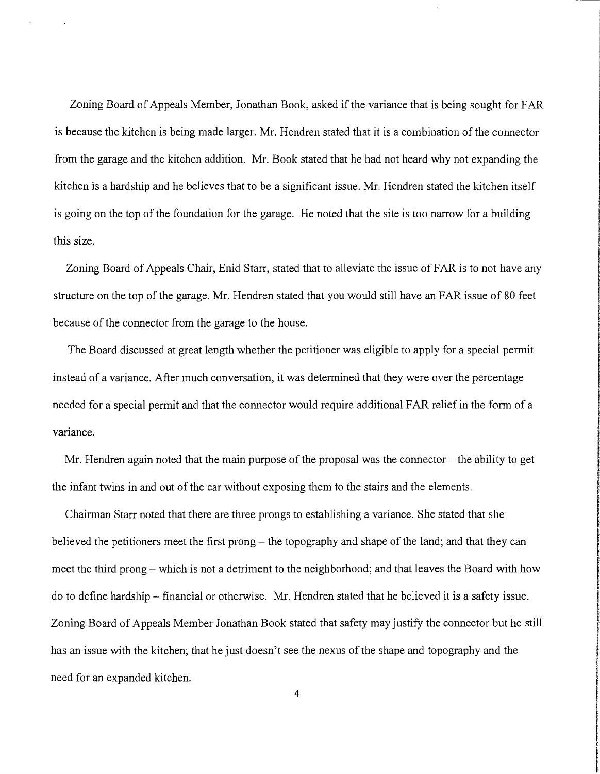Zoning Board of Appeals Member, Jonathan Book, asked if the variance that is being sought for FAR is because the kitchen is being made larger. Mr. Hendren stated that it is a combination of the connector from the garage and the kitchen addition. Mr. Book stated that he had not heard why not expanding the kitchen is a hardship and he believes that to be a significant issue. Mr. Hendren stated the kitchen itself is going on the top of the foundation for the garage. He noted that the site is too narrow for a building this size.

Zoning Board of Appeals Chair, Enid Starr, stated that to alleviate the issue of FAR is to not have any structure on the top of the garage. Mr. Hendren stated that you would still have an FAR issue of 80 feet because of the connector from the garage to the house.

The Board discussed at great length whether the petitioner was eligible to apply for a special permit instead of a variance. After much conversation, it was determined that they were over the percentage needed for a special permit and that the connector would require additional FAR relief in the form of a variance.

Mr. Hendren again noted that the main purpose of the proposal was the connector  $-$  the ability to get the infant twins in and out of the car without exposing them to the stairs and the elements.

Chairman Starr noted that there are three prongs to establishing a variance. She stated that she believed the petitioners meet the first prong  $-$  the topography and shape of the land; and that they can meet the third prong – which is not a detriment to the neighborhood; and that leaves the Board with how do to define hardship - financial or otherwise. Mr. Hendren stated that he believed it is a safety issue. Zoning Board of Appeals Member Jonathan Book stated that safety may justify the connector but he still has an issue with the kitchen; that he just doesn't see the nexus of the shape and topography and the need for an expanded kitchen.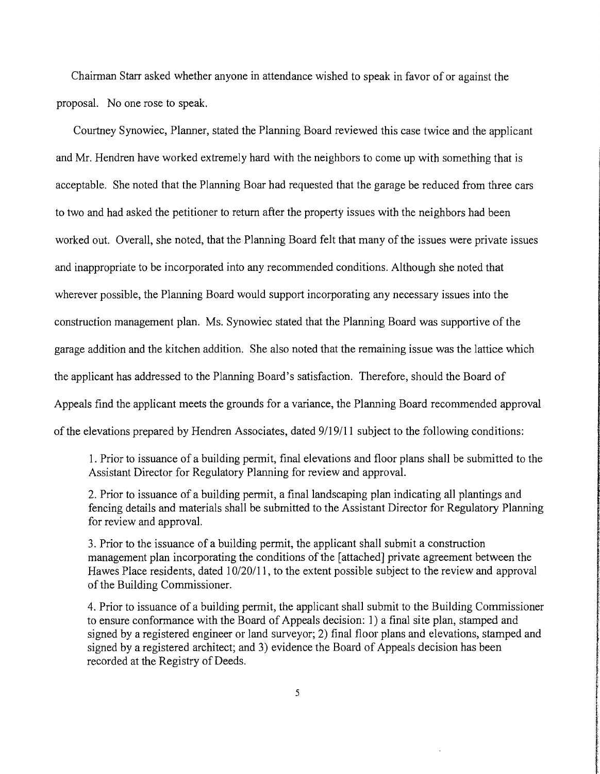Chairman Starr asked whether anyone in attendance wished to speak in favor of or against the proposal. No one rose to speak.

Courtney Synowiec, Planner, stated the Planning Board reviewed this case twice and the applicant and Mr. Hendren have worked extremely hard with the neighbors to come up with something that is acceptable. She noted that the Planning Boar had requested that the garage be reduced from three cars to two and had asked the petitioner to return after the property issues with the neighbors had been worked out. Overall, she noted, that the Planning Board felt that many of the issues were private issues and inappropriate to be incorporated into any recommended conditions. Although she noted that wherever possible, the Planning Board would support incorporating any necessary issues into the construction management plan. Ms. Synowiec stated that the Planning Board was supportive of the garage addition and the kitchen addition. She also noted that the remaining issue was the lattice which the applicant has addressed to the Planning Board's satisfaction. Therefore, should the Board of Appeals find the applicant meets the grounds for a variance, the Planning Board recommended approval of the elevations prepared by Hendren Associates, dated 9/19/11 subject to the following conditions:

1. Prior to issuance of a building permit, final elevations and floor plans shall be submitted to the Assistant Director for Regulatory Planning for review and approval.

2. Prior to issuance of a building permit, a final landscaping plan indicating all plantings and fencing details and materials shall be submitted to the Assistant Director for Regulatory Planning for review and approval.

3. Prior to the issuance of a building permit, the applicant shall submit a construction management plan incorporating the conditions of the [attached] private agreement between the Hawes Place residents, dated 10/20/11, to the extent possible subject to the review and approval of the Building Commissioner.

4. Prior to issuance of a building permit, the applicant shall submit to the Building Commissioner to ensure conformance with the Board of Appeals decision: 1) a final site plan, stamped and signed by a registered engineer or land surveyor; 2) final floor plans and elevations, stamped and signed by a registered architect; and 3) evidence the Board of Appeals decision has been recorded at the Registry of Deeds.

**the distribution** 

Income control Accordability of the Same

Kai matematika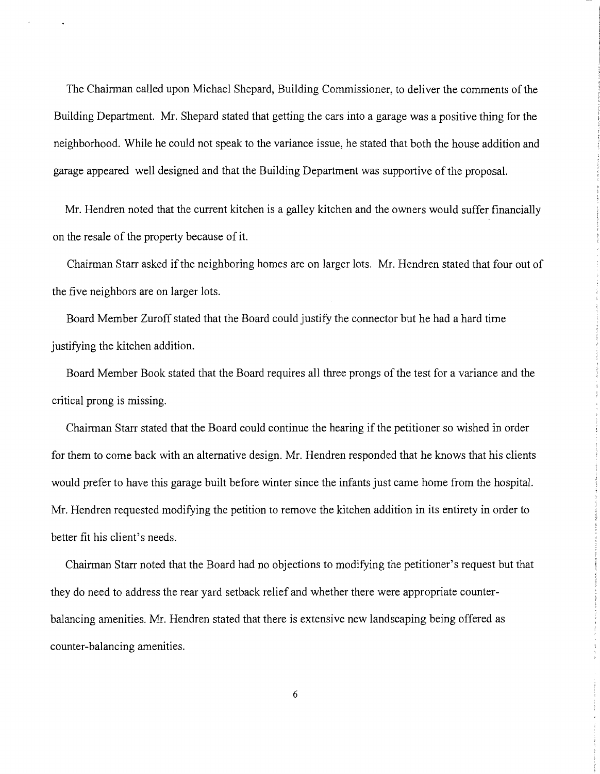The Chairman called upon Michael Shepard, Building Commissioner, to deliver the comments of the Building Department. Mr. Shepard stated that getting the cars into a garage was a positive thing for the neighborhood. While he could not speak to the variance issue, he stated that both the house addition and garage appeared well designed and that the Building Department was supportive of the proposal.

Mr. Hendren noted that the current kitchen is a galley kitchen and the owners would suffer financially on the resale of the property because of it.

Chairman Starr asked if the neighboring homes are on larger lots. Mr. Hendren stated that four out of the five neighbors are on larger lots.

Board Member Zuroff stated that the Board could justify the connector but he had a hard time justifying the kitchen addition.

Board Member Book stated that the Board requires all three prongs of the test for a variance and the critical prong is missing.

Chairman Starr stated that the Board could continue the hearing if the petitioner so wished in order for them to come back with an alternative design. Mr. Hendren responded that he knows that his clients would prefer to have this garage built before winter since the infants just came home from the hospital. Mr. Hendren requested modifying the petition to remove the kitchen addition in its entirety in order to better fit his client's needs.

Chairman Starr noted that the Board had no objections to modifying the petitioner's request but that they do need to address the rear yard setback relief and whether there were appropriate counterbalancing amenities. Mr. Hendren stated that there is extensive new landscaping being offered as counter-balancing amenities.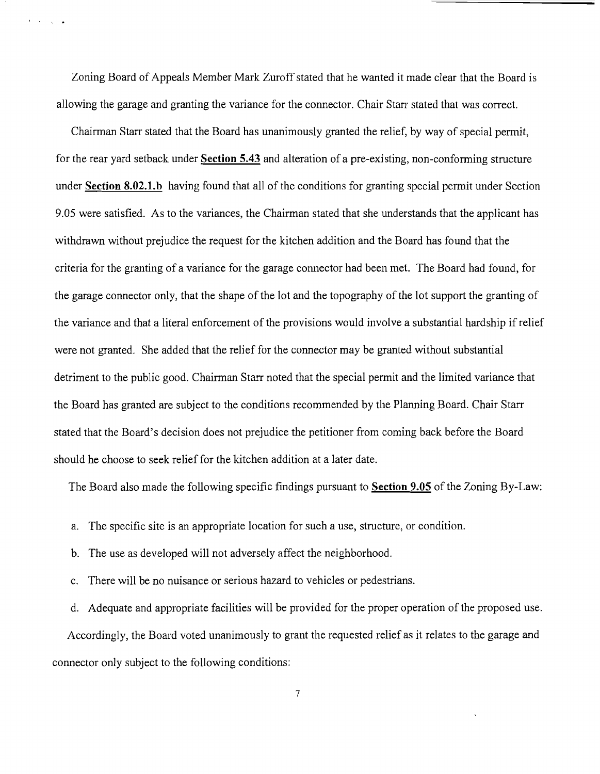Zoning Board of Appeals Member Mark Zuroff stated that he wanted it made clear that the Board is allowing the garage and granting the variance for the connector. Chair Starr stated that was correct.

l • \ •

Chairman Starr stated that the Board has unanimously granted the relief, by way of special permit, for the rear yard setback under **Section 5.43** and alteration of a pre-existing, non-conforming structure under **Section 8.02.l.b** having found that all of the conditions for granting special permit under Section 9.05 were satisfied. As to the variances, the Chairman stated that she understands that the applicant has withdrawn without prejudice the request for the kitchen addition and the Board has found that the criteria for the granting of a variance for the garage connector had been met. The Board had found, for the garage connector only, that the shape of the lot and the topography of the lot support the granting of the variance and that a literal enforcement of the provisions would involve a substantial hardship if relief were not granted. She added that the relief for the connector may be granted without substantial detriment to the public good. Chairman Starr noted that the special permit and the limited variance that the Board has granted are subject to the conditions recommended by the Planning Board. Chair Starr stated that the Board's decision does not prejudice the petitioner from coming back before the Board should he choose to seek relief for the kitchen addition at a later date.

The Board also made the following specific findings pursuant to **Section 9.05** ofthe Zoning By-Law:

- a. The specific site is an appropriate location for such a use, structure, or condition.
- b. The use as developed will not adversely affect the neighborhood.
- c. There will be no nuisance or serious hazard to vehicles or pedestrians.

d. Adequate and appropriate facilities will be provided for the proper operation of the proposed use.

Accordingly, the Board voted unanimously to grant the requested relief as it relates to the garage and connector only subject to the following conditions: